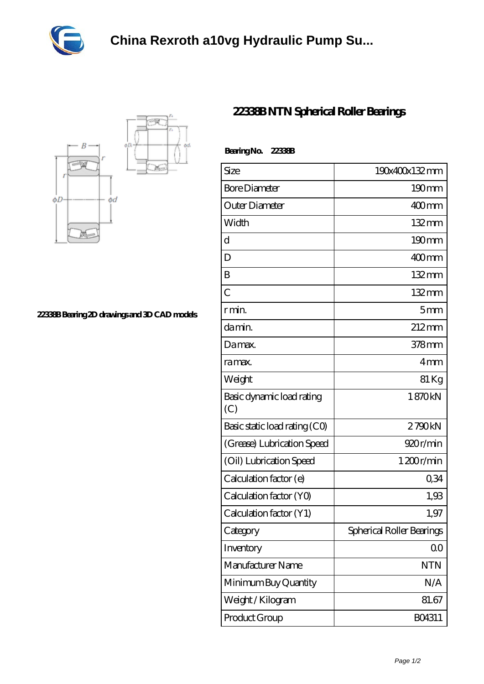



**[22338B Bearing 2D drawings and 3D CAD models](https://www.szarkant.org/pic-1107044.html)**

## **[22338B NTN Spherical Roller Bearings](https://www.szarkant.org/thrust-spherical-roller-bearing/22338b.html)**

| BearingNo. 22338B                |                           |
|----------------------------------|---------------------------|
| Size                             | 190x400x132mm             |
| <b>Bore Diameter</b>             | 190mm                     |
| Outer Diameter                   | $400$ mm                  |
| Width                            | 132mm                     |
| d                                | $190 \text{mm}$           |
| D                                | 400mm                     |
| B                                | $132 \,\mathrm{mm}$       |
| $\overline{C}$                   | 132mm                     |
| r min.                           | 5 <sub>mm</sub>           |
| da min.                          | 212mm                     |
| Damax.                           | 378mm                     |
| ra max.                          | 4mm                       |
| Weight                           | $81\,\mathrm{Kg}$         |
| Basic dynamic load rating<br>(C) | 1870kN                    |
| Basic static load rating (CO)    | 2790kN                    |
| (Grease) Lubrication Speed       | 920r/min                  |
| (Oil) Lubrication Speed          | 1200r/min                 |
| Calculation factor (e)           | 0,34                      |
| Calculation factor (YO)          | 1,93                      |
| Calculation factor (Y1)          | 1,97                      |
| Category                         | Spherical Roller Bearings |
| Inventory                        | 00                        |
| Manufacturer Name                | <b>NTN</b>                |
| Minimum Buy Quantity             | N/A                       |
| Weight / Kilogram                | 81.67                     |
| Product Group                    | BO4311                    |